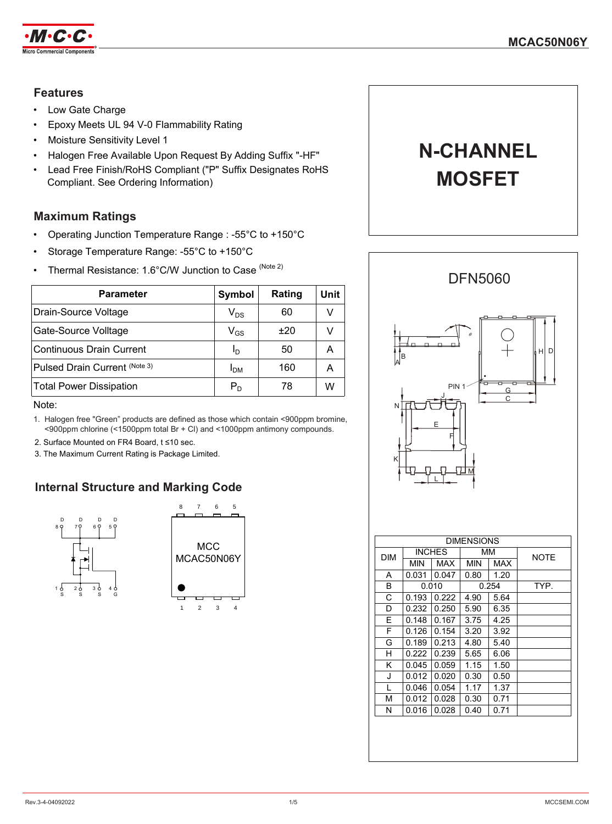

### **Features**

- Low Gate Charge
- Epoxy Meets UL 94 V-0 Flammability Rating
- Moisture Sensitivity Level 1
- Halogen Free Available Upon Request By Adding Suffix "-HF"
- Lead Free Finish/RoHS Compliant ("P" Suffix Designates RoHS Compliant. See Ordering Information)

## **Maximum Ratings**

- Operating Junction Temperature Range : -55°C to +150°C
- Storage Temperature Range: -55°C to +150°C
- Thermal Resistance: 1.6°C/W Junction to Case (Note 2)

| Parameter                       | Symbol                     | Rating | Unit |
|---------------------------------|----------------------------|--------|------|
| Drain-Source Voltage            | $V_{DS}$                   | 60     | v    |
| Gate-Source Volltage            | $\mathsf{V}_{\mathsf{GS}}$ | ±20    |      |
| <b>Continuous Drain Current</b> | Ιŋ                         | 50     | А    |
| Pulsed Drain Current (Note 3)   | ӏьм                        | 160    | А    |
| <b>Total Power Dissipation</b>  | $P_D$                      | 78     | w    |

Note:

- 1. Halogen free "Green" products are defined as those which contain <900ppm bromine, <900ppm chlorine (<1500ppm total Br + Cl) and <1000ppm antimony compounds.
- 2. Surface Mounted on FR4 Board, t ≤10 sec.
- 3. The Maximum Current Rating is Package Limited.

# **Internal Structure and Marking Code**



# **N-CHANNEL MOSFET**

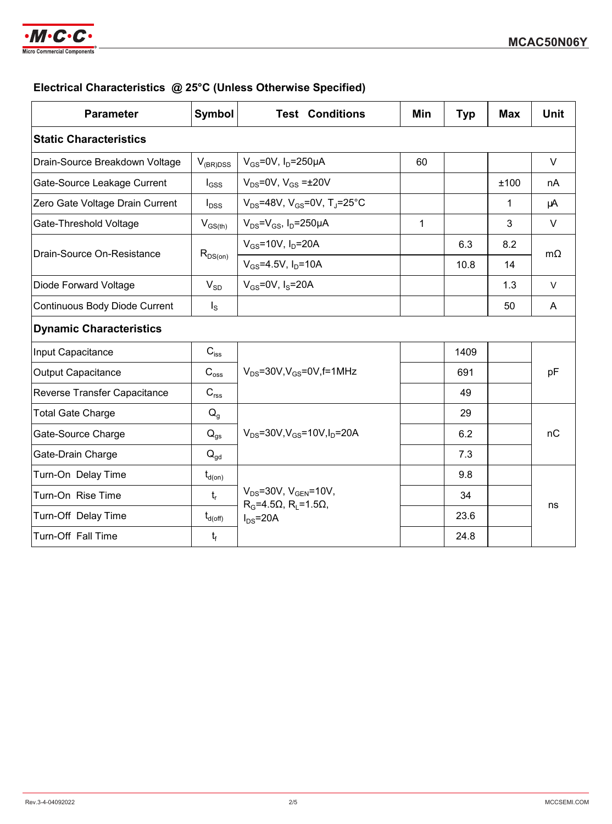

## **Electrical Characteristics @ 25°C (Unless Otherwise Specified)**

| <b>Parameter</b>                     | <b>Symbol</b>       | <b>Test Conditions</b>                                    | Min | <b>Typ</b> | <b>Max</b> | <b>Unit</b> |  |  |
|--------------------------------------|---------------------|-----------------------------------------------------------|-----|------------|------------|-------------|--|--|
| <b>Static Characteristics</b>        |                     |                                                           |     |            |            |             |  |  |
| Drain-Source Breakdown Voltage       | $V_{(BR)DSS}$       | $V_{GS}$ =0V, $I_D$ =250µA                                | 60  |            |            | V           |  |  |
| Gate-Source Leakage Current          | $I_{GSS}$           | $V_{DS}$ =0V, $V_{GS}$ = $\pm$ 20V                        |     |            | ±100       | nA          |  |  |
| Zero Gate Voltage Drain Current      | $I_{DSS}$           | $V_{DS}$ =48V, V <sub>GS</sub> =0V, T <sub>J</sub> =25°C  |     |            | 1          | μA          |  |  |
| Gate-Threshold Voltage               | $V_{GS(th)}$        | $V_{DS} = V_{GS}$ , $I_D = 250 \mu A$                     | 1   |            | 3          | $\vee$      |  |  |
| Drain-Source On-Resistance           | $R_{DS(on)}$        | $V_{GS} = 10V$ , $I_D = 20A$                              |     | 6.3        | 8.2        | $m\Omega$   |  |  |
|                                      |                     | $V_{GS} = 4.5V$ , $I_D = 10A$                             |     | 10.8       | 14         |             |  |  |
| Diode Forward Voltage                | $V_{SD}$            | $V_{GS}$ =0V, $I_S$ =20A                                  |     |            | 1.3        | $\vee$      |  |  |
| <b>Continuous Body Diode Current</b> | $I_{\rm S}$         |                                                           |     |            | 50         | A           |  |  |
| <b>Dynamic Characteristics</b>       |                     |                                                           |     |            |            |             |  |  |
| Input Capacitance                    | $C_{\text{iss}}$    | $V_{DS}$ =30V, $V_{GS}$ =0V, f=1MHz                       |     | 1409       |            | pF          |  |  |
| <b>Output Capacitance</b>            | $C_{\rm oss}$       |                                                           |     | 691        |            |             |  |  |
| Reverse Transfer Capacitance         | $C_{\text{rss}}$    |                                                           |     | 49         |            |             |  |  |
| <b>Total Gate Charge</b>             | $Q_q$               | $V_{DS} = 30V$ , $V_{GS} = 10V$ , $I_D = 20A$             |     | 29         |            |             |  |  |
| Gate-Source Charge                   | $Q_{qs}$            |                                                           |     | 6.2        |            | nC          |  |  |
| Gate-Drain Charge                    | $Q_{gd}$            |                                                           |     | 7.3        |            |             |  |  |
| Turn-On Delay Time                   | $t_{d(on)}$         | $V_{DS} = 30V$ , $V_{GEN} = 10V$ ,                        |     | 9.8        |            |             |  |  |
| Turn-On Rise Time                    | $t_{r}$             |                                                           |     | 34         |            |             |  |  |
| Turn-Off Delay Time                  | $t_{d(\text{off})}$ | $R_G = 4.5\Omega$ , $R_I = 1.5\Omega$ ,<br>$I_{DS} = 20A$ |     | 23.6       |            | ns          |  |  |
| Turn-Off Fall Time                   | $t_f$               |                                                           |     | 24.8       |            |             |  |  |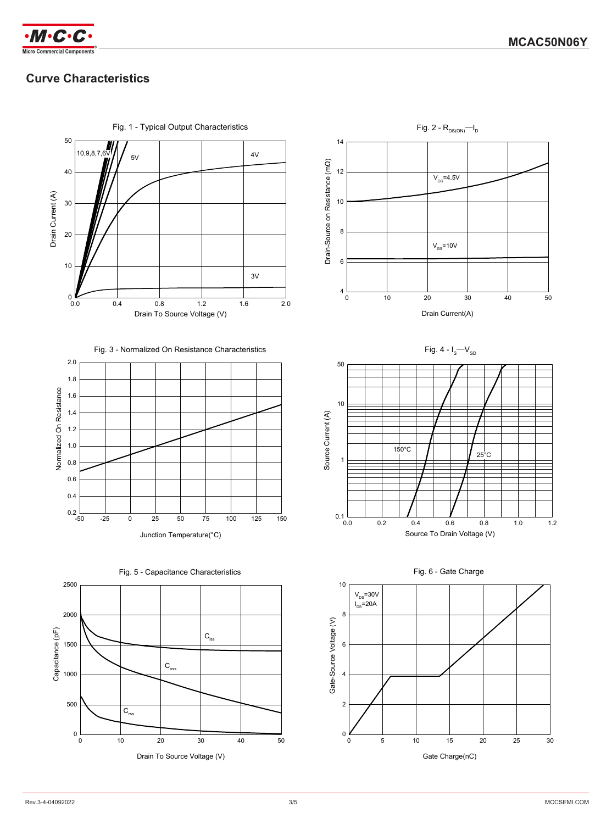

# **Curve Characteristics**



Fig. 1 - Typical Output Characteristics



0 10 20 30 40 50

Fig. 4 -  $I_S-V_{SD}$ 

20 30 Drain Current(A)

 $V_{gs}$ =10V

 $V_{\text{GS}}$ =4.5V

Fig. 2 -  $R_{DS(ON)} - I_D$ 







-50 -25 0 100 125 150

25 50 75 Junction Temperature(°C)



 $0.2$   $-50$ 

0.4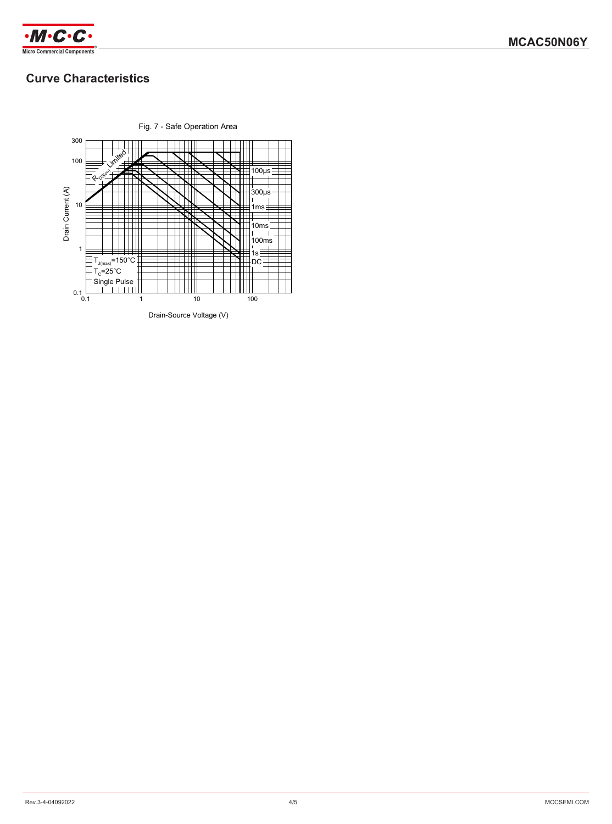

# **Curve Characteristics**